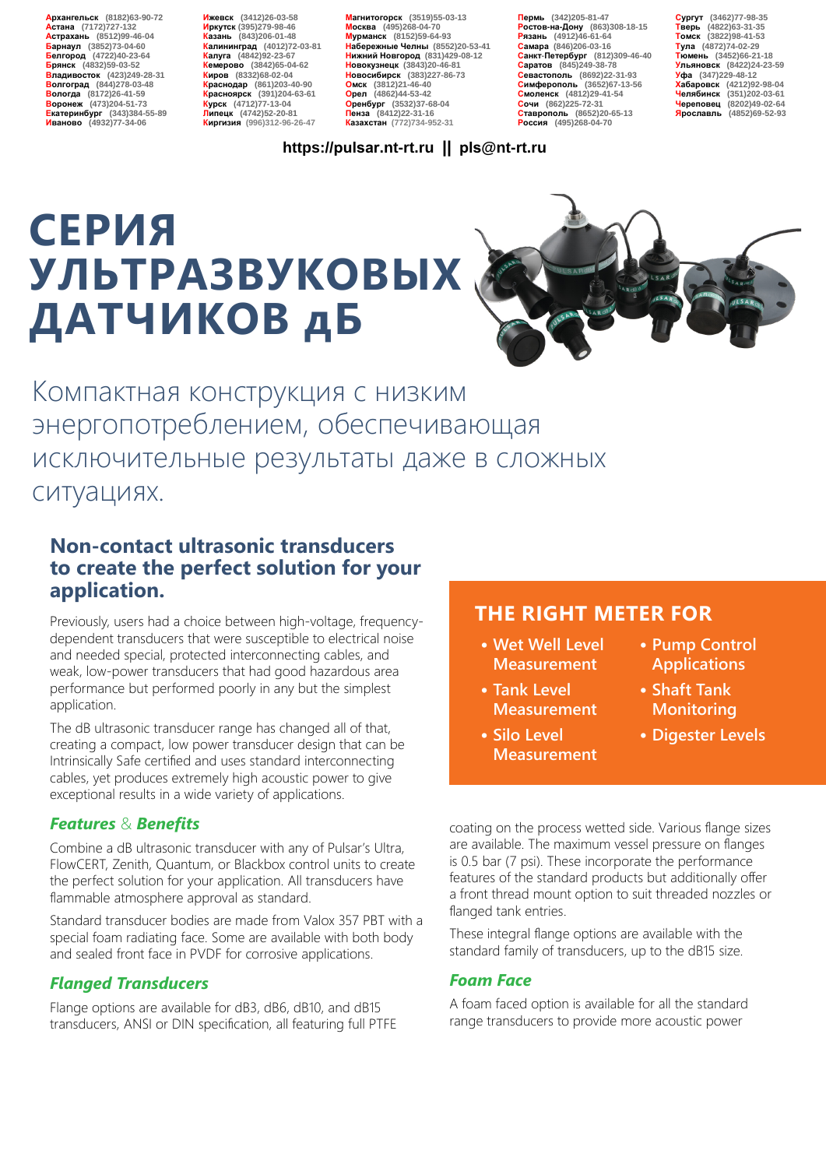**Архангельск (8182)63-90-72 Астана (7172)727-132 Астрахань (8512)99-46-04 Барнаул (3852)73-04-60 Белгород (4722)40-23-64 Брянск (4832)59-03-52 Владивосток (423)249-28-31 Волгоград (844)278-03-48 Вологда (8172)26-41-59 Воронеж (473)204-51-73 Екатеринбург (343)384-55-89 Иваново (4932)77-34-06** **Ижевск (3412)26-03-58 Иркутск (395)279-98-46 Казань (843)206-01-48 Калининград (4012)72-03-81 Калуга (4842)92-23-67 Кемерово (3842)65-04-62 Киров (8332)68-02-04 Краснодар (861)203-40-90 Красноярск (391)204-63-61 Курск (4712)77-13-04 Липецк (4742)52-20-81 Киргизия (996)312-96-26-47**

**Магнитогорск (3519)55-03-13 Москва (495)268-04-70 Мурманск (8152)59-64-93 Набережные Челны (8552)20-53-41 Нижний Новгород (831)429-08-12 Новокузнецк (3843)20-46-81 Новосибирск (383)227-86-73 Омск (3812)21-46-40 Орел (4862)44-53-42 Оренбург (3532)37-68-04 Пенза (8412)22-31-16 Казахстан (772)734-952-31**

**Пермь (342)205-81-47 Ростов-на-Дону (863)308-18-15 Рязань (4912)46-61-64 Самара (846)206-03-16 Санкт-Петербург (812)309-46-40 Саратов (845)249-38-78 Севастополь (8692)22-31-93 Симферополь (3652)67-13-56 Смоленск (4812)29-41-54 Сочи (862)225-72-31 Ставрополь (8652)20-65-13 Россия (495)268-04-70**

**Сургут (3462)77-98-35 Тверь (4822)63-31-35 Томск (3822)98-41-53 Тула (4872)74-02-29 Тюмень (3452)66-21-18 Ульяновск (8422)24-23-59 Уфа (347)229-48-12 Хабаровск (4212)92-98-04 Челябинск (351)202-03-61 Череповец (8202)49-02-64 Ярославль (4852)69-52-93** 

#### **https://pulsar.nt-rt.ru || pls@nt-rt.ru**

# **СЕРИЯ УЛЬТРАЗВУКОВЫХ ДАТЧИКОВ дБ**



Компактная конструкция с низким энергопотреблением, обеспечивающая исключительные результаты даже в сложных ситуациях.

### **Non-contact ultrasonic transducers to create the perfect solution for your application.**

Previously, users had a choice between high-voltage, frequencydependent transducers that were susceptible to electrical noise and needed special, protected interconnecting cables, and weak, low-power transducers that had good hazardous area performance but performed poorly in any but the simplest application.

The dB ultrasonic transducer range has changed all of that, creating a compact, low power transducer design that can be Intrinsically Safe certified and uses standard interconnecting cables, yet produces extremely high acoustic power to give exceptional results in a wide variety of applications.

#### *Features* & *Benefits*

Combine a dB ultrasonic transducer with any of Pulsar's Ultra, FlowCERT, Zenith, Quantum, or Blackbox control units to create the perfect solution for your application. All transducers have flammable atmosphere approval as standard.

Standard transducer bodies are made from Valox 357 PBT with a special foam radiating face. Some are available with both body and sealed front face in PVDF for corrosive applications.

#### *Flanged Transducers*

Flange options are available for dB3, dB6, dB10, and dB15 transducers, ANSI or DIN specification, all featuring full PTFE

#### **THE RIGHT METER FOR**

- **• Wet Well Level Measurement**
- **• Tank Level Measurement**
- **• Silo Level Measurement**
- **• Pump Control Applications**
- **• Shaft Tank Monitoring**
- **• Digester Levels**

coating on the process wetted side. Various flange sizes are available. The maximum vessel pressure on flanges is 0.5 bar (7 psi). These incorporate the performance features of the standard products but additionally offer a front thread mount option to suit threaded nozzles or flanged tank entries.

These integral flange options are available with the standard family of transducers, up to the dB15 size.

#### *Foam Face*

A foam faced option is available for all the standard range transducers to provide more acoustic power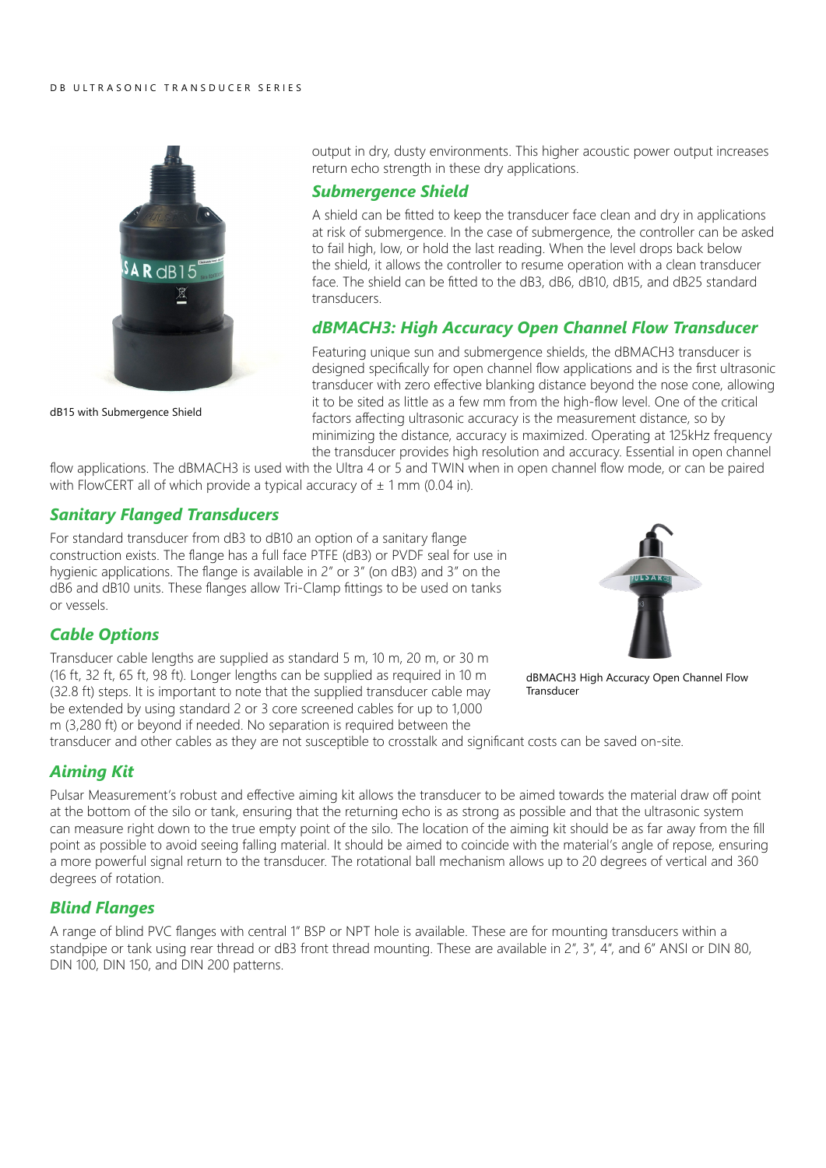

dB15 with Submergence Shield

output in dry, dusty environments. This higher acoustic power output increases return echo strength in these dry applications.

#### *Submergence Shield*

A shield can be fitted to keep the transducer face clean and dry in applications at risk of submergence. In the case of submergence, the controller can be asked to fail high, low, or hold the last reading. When the level drops back below the shield, it allows the controller to resume operation with a clean transducer face. The shield can be fitted to the dB3, dB6, dB10, dB15, and dB25 standard transducers.

#### *dBMACH3: High Accuracy Open Channel Flow Transducer*

Featuring unique sun and submergence shields, the dBMACH3 transducer is designed specifically for open channel flow applications and is the first ultrasonic transducer with zero effective blanking distance beyond the nose cone, allowing it to be sited as little as a few mm from the high-flow level. One of the critical factors affecting ultrasonic accuracy is the measurement distance, so by minimizing the distance, accuracy is maximized. Operating at 125kHz frequency the transducer provides high resolution and accuracy. Essential in open channel

flow applications. The dBMACH3 is used with the Ultra 4 or 5 and TWIN when in open channel flow mode, or can be paired with FlowCERT all of which provide a typical accuracy of  $\pm$  1 mm (0.04 in).

#### *Sanitary Flanged Transducers*

For standard transducer from dB3 to dB10 an option of a sanitary flange construction exists. The flange has a full face PTFE (dB3) or PVDF seal for use in hygienic applications. The flange is available in 2" or 3" (on dB3) and 3" on the dB6 and dB10 units. These flanges allow Tri-Clamp fittings to be used on tanks or vessels.

#### *Cable Options*

Transducer cable lengths are supplied as standard 5 m, 10 m, 20 m, or 30 m (16 ft, 32 ft, 65 ft, 98 ft). Longer lengths can be supplied as required in 10 m (32.8 ft) steps. It is important to note that the supplied transducer cable may be extended by using standard 2 or 3 core screened cables for up to 1,000 m (3,280 ft) or beyond if needed. No separation is required between the



dBMACH3 High Accuracy Open Channel Flow Transducer

transducer and other cables as they are not susceptible to crosstalk and significant costs can be saved on-site.

#### *Aiming Kit*

Pulsar Measurement's robust and effective aiming kit allows the transducer to be aimed towards the material draw off point at the bottom of the silo or tank, ensuring that the returning echo is as strong as possible and that the ultrasonic system can measure right down to the true empty point of the silo. The location of the aiming kit should be as far away from the fill point as possible to avoid seeing falling material. It should be aimed to coincide with the material's angle of repose, ensuring a more powerful signal return to the transducer. The rotational ball mechanism allows up to 20 degrees of vertical and 360 degrees of rotation.

#### *Blind Flanges*

A range of blind PVC flanges with central 1" BSP or NPT hole is available. These are for mounting transducers within a standpipe or tank using rear thread or dB3 front thread mounting. These are available in 2", 3", 4", and 6" ANSI or DIN 80, DIN 100, DIN 150, and DIN 200 patterns.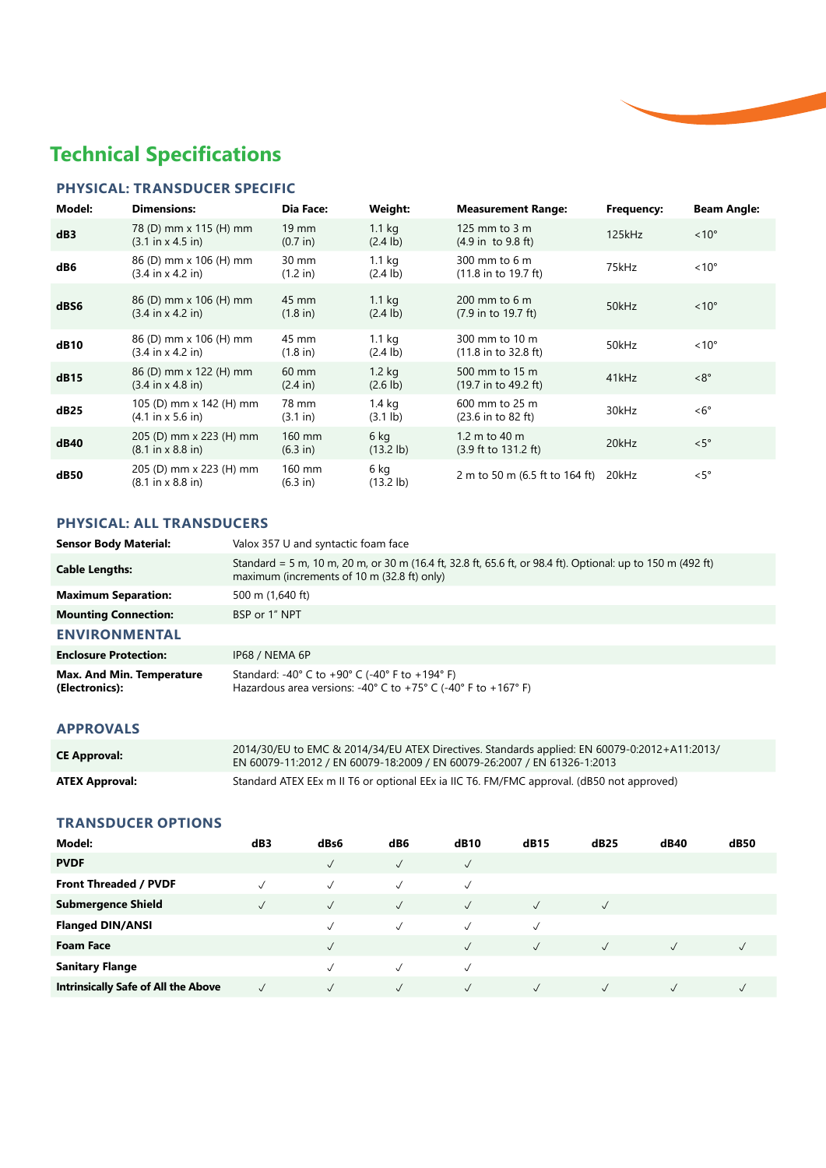## **Technical Specifications**

#### **PHYSICAL: TRANSDUCER SPECIFIC**

| Model:      | <b>Dimensions:</b>                                              | Dia Face:                   | Weight:                                 | <b>Measurement Range:</b>                                 | Frequency: | <b>Beam Angle:</b> |
|-------------|-----------------------------------------------------------------|-----------------------------|-----------------------------------------|-----------------------------------------------------------|------------|--------------------|
| dB3         | 78 (D) mm x 115 (H) mm<br>$(3.1 \text{ in } x 4.5 \text{ in})$  | $19 \text{ mm}$<br>(0.7 in) | 1.1 <sub>kg</sub><br>$(2.4 \text{ lb})$ | 125 mm to 3 m<br>$(4.9 \text{ in } to 9.8 \text{ ft})$    | 125kHz     | $< 10^{\circ}$     |
| dB6         | 86 (D) mm x 106 (H) mm<br>$(3.4 \text{ in } x 4.2 \text{ in})$  | 30 mm<br>(1.2 in)           | 1.1 <sub>kg</sub><br>$(2.4 \text{ lb})$ | 300 mm to 6 m<br>$(11.8 \text{ in to } 19.7 \text{ ft})$  | 75kHz      | $~10^{\circ}$      |
| dBS6        | 86 (D) mm x 106 (H) mm<br>$(3.4 \text{ in } x 4.2 \text{ in})$  | 45 mm<br>$(1.8 \text{ in})$ | 1.1 <sub>kg</sub><br>$(2.4 \text{ lb})$ | $200 \text{ mm}$ to 6 m<br>(7.9 in to 19.7 ft)            | 50kHz      | $~10^{\circ}$      |
| dB10        | 86 (D) mm x 106 (H) mm<br>$(3.4 \text{ in } x 4.2 \text{ in})$  | 45 mm<br>$(1.8 \text{ in})$ | 1.1 <sub>kg</sub><br>$(2.4 \text{ lb})$ | 300 mm to 10 m<br>$(11.8 \text{ in to } 32.8 \text{ ft})$ | 50kHz      | $~10^{\circ}$      |
| dB15        | 86 (D) mm x 122 (H) mm<br>$(3.4 \text{ in } x 4.8 \text{ in})$  | 60 mm<br>$(2.4 \text{ in})$ | $1.2$ kg<br>$(2.6 \text{ lb})$          | 500 mm to 15 m<br>$(19.7 \text{ in to } 49.2 \text{ ft})$ | 41kHz      | $<8^{\circ}$       |
| dB25        | 105 (D) mm x 142 (H) mm<br>$(4.1 \text{ in } x 5.6 \text{ in})$ | 78 mm<br>(3.1 in)           | 1.4 <sub>kg</sub><br>$(3.1 \text{ lb})$ | 600 mm to 25 m<br>(23.6 in to 82 ft)                      | 30kHz      | $<6^{\circ}$       |
| dB40        | 205 (D) mm x 223 (H) mm<br>$(8.1 \text{ in } x 8.8 \text{ in})$ | 160 mm<br>$(6.3 \infty)$    | 6 kg<br>$(13.2 \text{ lb})$             | 1.2 m to 40 m<br>$(3.9 \text{ ft to } 131.2 \text{ ft})$  | 20kHz      | $\langle 5^\circ$  |
| <b>dB50</b> | 205 (D) mm x 223 (H) mm<br>$(8.1 \text{ in } x 8.8 \text{ in})$ | 160 mm<br>(6.3 in)          | 6 kg<br>$(13.2 \text{ lb})$             | 2 m to 50 m (6.5 ft to 164 ft)                            | 20kHz      | $\leq 5^{\circ}$   |

#### **PHYSICAL: ALL TRANSDUCERS**

| <b>Sensor Body Material:</b>                       | Valox 357 U and syntactic foam face                                                                                                                                                     |
|----------------------------------------------------|-----------------------------------------------------------------------------------------------------------------------------------------------------------------------------------------|
| <b>Cable Lengths:</b>                              | Standard = 5 m, 10 m, 20 m, or 30 m (16.4 ft, 32.8 ft, 65.6 ft, or 98.4 ft). Optional: up to 150 m (492 ft)<br>maximum (increments of 10 m (32.8 ft) only)                              |
| <b>Maximum Separation:</b>                         | 500 m (1,640 ft)                                                                                                                                                                        |
| <b>Mounting Connection:</b>                        | BSP or 1" NPT                                                                                                                                                                           |
| <b>ENVIRONMENTAL</b>                               |                                                                                                                                                                                         |
| <b>Enclosure Protection:</b>                       | IP68 / NEMA 6P                                                                                                                                                                          |
| <b>Max. And Min. Temperature</b><br>(Electronics): | Standard: -40 $\degree$ C to +90 $\degree$ C (-40 $\degree$ F to +194 $\degree$ F)<br>Hazardous area versions: -40 $\degree$ C to +75 $\degree$ C (-40 $\degree$ F to +167 $\degree$ F) |

#### **APPROVALS**

| <b>CE Approval:</b>   | 2014/30/EU to EMC & 2014/34/EU ATEX Directives. Standards applied: EN 60079-0:2012+A11:2013/<br>EN 60079-11:2012 / EN 60079-18:2009 / EN 60079-26:2007 / EN 61326-1:2013 |
|-----------------------|--------------------------------------------------------------------------------------------------------------------------------------------------------------------------|
| <b>ATEX Approval:</b> | Standard ATEX EEx m II T6 or optional EEx ia IIC T6. FM/FMC approval. (dB50 not approved)                                                                                |

#### **TRANSDUCER OPTIONS**

| Model:                                     | dB3 | dBs6         | dB <sub>6</sub> | <b>dB10</b>  | dB15         | dB25       | dB40 | dB50 |
|--------------------------------------------|-----|--------------|-----------------|--------------|--------------|------------|------|------|
| <b>PVDF</b>                                |     | $\checkmark$ | $\checkmark$    | $\sqrt{}$    |              |            |      |      |
| Front Threaded / PVDF                      |     | √            | $\checkmark$    | $\sqrt{2}$   |              |            |      |      |
| <b>Submergence Shield</b>                  |     | $\checkmark$ | $\sqrt{}$       | $\checkmark$ | $\sqrt{}$    | $\sqrt{ }$ |      |      |
| <b>Flanged DIN/ANSI</b>                    |     | $\checkmark$ | $\checkmark$    | $\sqrt{}$    | $\sqrt{2}$   |            |      |      |
| <b>Foam Face</b>                           |     | $\checkmark$ |                 | $\checkmark$ | $\checkmark$ | $\sqrt{}$  |      |      |
| <b>Sanitary Flange</b>                     |     | $\checkmark$ | $\checkmark$    | $\checkmark$ |              |            |      |      |
| <b>Intrinsically Safe of All the Above</b> |     | $\checkmark$ | √               | $\checkmark$ | $\sqrt{ }$   | $\sqrt{ }$ |      |      |